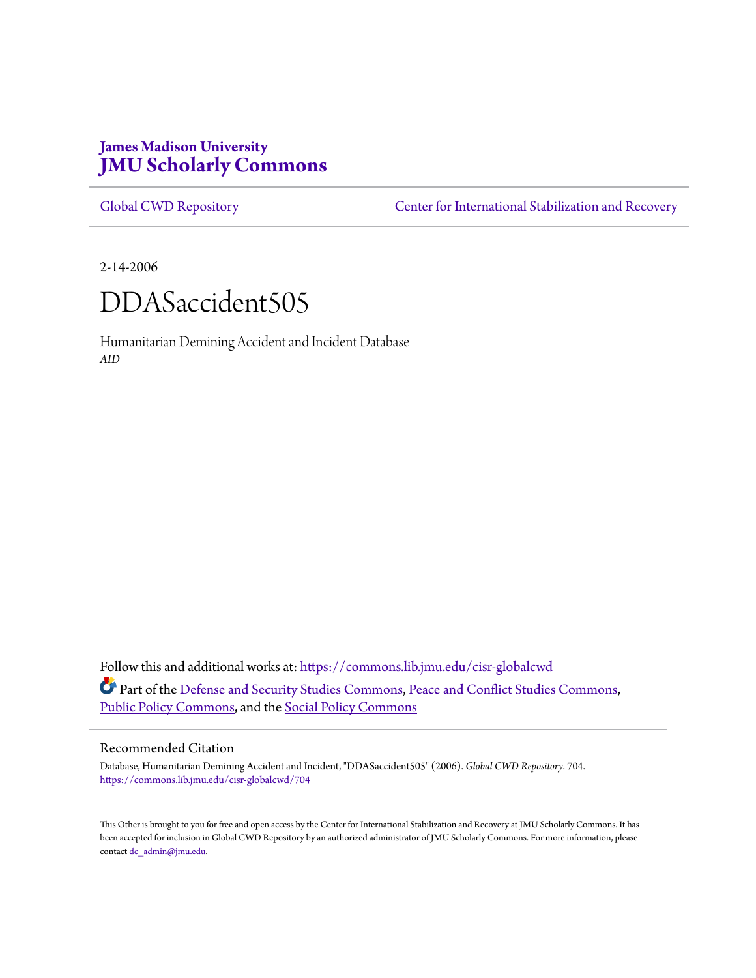# **James Madison University [JMU Scholarly Commons](https://commons.lib.jmu.edu?utm_source=commons.lib.jmu.edu%2Fcisr-globalcwd%2F704&utm_medium=PDF&utm_campaign=PDFCoverPages)**

[Global CWD Repository](https://commons.lib.jmu.edu/cisr-globalcwd?utm_source=commons.lib.jmu.edu%2Fcisr-globalcwd%2F704&utm_medium=PDF&utm_campaign=PDFCoverPages) **[Center for International Stabilization and Recovery](https://commons.lib.jmu.edu/cisr?utm_source=commons.lib.jmu.edu%2Fcisr-globalcwd%2F704&utm_medium=PDF&utm_campaign=PDFCoverPages)** 

2-14-2006



Humanitarian Demining Accident and Incident Database *AID*

Follow this and additional works at: [https://commons.lib.jmu.edu/cisr-globalcwd](https://commons.lib.jmu.edu/cisr-globalcwd?utm_source=commons.lib.jmu.edu%2Fcisr-globalcwd%2F704&utm_medium=PDF&utm_campaign=PDFCoverPages) Part of the [Defense and Security Studies Commons](http://network.bepress.com/hgg/discipline/394?utm_source=commons.lib.jmu.edu%2Fcisr-globalcwd%2F704&utm_medium=PDF&utm_campaign=PDFCoverPages), [Peace and Conflict Studies Commons](http://network.bepress.com/hgg/discipline/397?utm_source=commons.lib.jmu.edu%2Fcisr-globalcwd%2F704&utm_medium=PDF&utm_campaign=PDFCoverPages), [Public Policy Commons,](http://network.bepress.com/hgg/discipline/400?utm_source=commons.lib.jmu.edu%2Fcisr-globalcwd%2F704&utm_medium=PDF&utm_campaign=PDFCoverPages) and the [Social Policy Commons](http://network.bepress.com/hgg/discipline/1030?utm_source=commons.lib.jmu.edu%2Fcisr-globalcwd%2F704&utm_medium=PDF&utm_campaign=PDFCoverPages)

### Recommended Citation

Database, Humanitarian Demining Accident and Incident, "DDASaccident505" (2006). *Global CWD Repository*. 704. [https://commons.lib.jmu.edu/cisr-globalcwd/704](https://commons.lib.jmu.edu/cisr-globalcwd/704?utm_source=commons.lib.jmu.edu%2Fcisr-globalcwd%2F704&utm_medium=PDF&utm_campaign=PDFCoverPages)

This Other is brought to you for free and open access by the Center for International Stabilization and Recovery at JMU Scholarly Commons. It has been accepted for inclusion in Global CWD Repository by an authorized administrator of JMU Scholarly Commons. For more information, please contact [dc\\_admin@jmu.edu.](mailto:dc_admin@jmu.edu)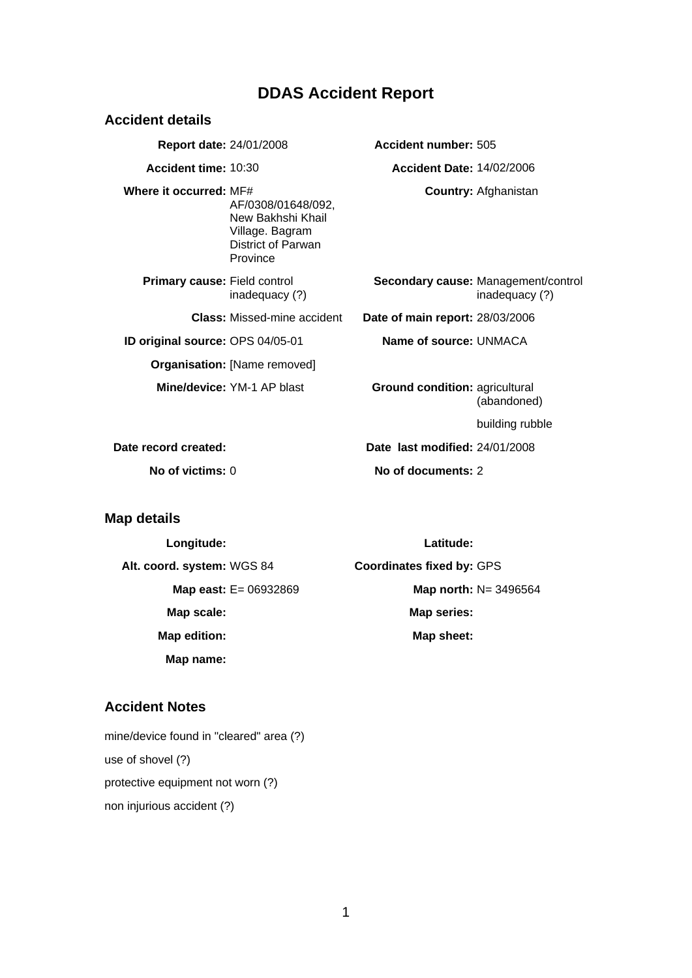# **DDAS Accident Report**

| <b>Accident details</b>             |                                                                                              |                                  |                                                       |
|-------------------------------------|----------------------------------------------------------------------------------------------|----------------------------------|-------------------------------------------------------|
| <b>Report date: 24/01/2008</b>      |                                                                                              | Accident number: 505             |                                                       |
| Accident time: 10:30                |                                                                                              | <b>Accident Date: 14/02/2006</b> |                                                       |
| Where it occurred: MF#              | AF/0308/01648/092.<br>New Bakhshi Khail<br>Village. Bagram<br>District of Parwan<br>Province |                                  | <b>Country: Afghanistan</b>                           |
| <b>Primary cause: Field control</b> | inadequacy (?)                                                                               |                                  | Secondary cause: Management/control<br>inadequacy (?) |
|                                     | <b>Class:</b> Missed-mine accident                                                           | Date of main report: 28/03/2006  |                                                       |
| ID original source: OPS 04/05-01    |                                                                                              | Name of source: UNMACA           |                                                       |
|                                     | <b>Organisation: [Name removed]</b>                                                          |                                  |                                                       |
|                                     | Mine/device: YM-1 AP blast                                                                   | Ground condition: agricultural   | (abandoned)                                           |
|                                     |                                                                                              |                                  | building rubble                                       |
| Date record created:                |                                                                                              | Date last modified: 24/01/2008   |                                                       |
| No of victims: $0$                  |                                                                                              | No of documents: 2               |                                                       |

# **Map details**

**Longitude: Latitude:**

**Map name:** 

**Alt. coord. system:** WGS 84 **Coordinates fixed by:** GPS **Map east: E= 06932869 Map north: N= 3496564** Map scale: Map series: Map edition: Map sheet:

# **Accident Notes**

mine/device found in "cleared" area (?) use of shovel (?) protective equipment not worn (?) non injurious accident (?)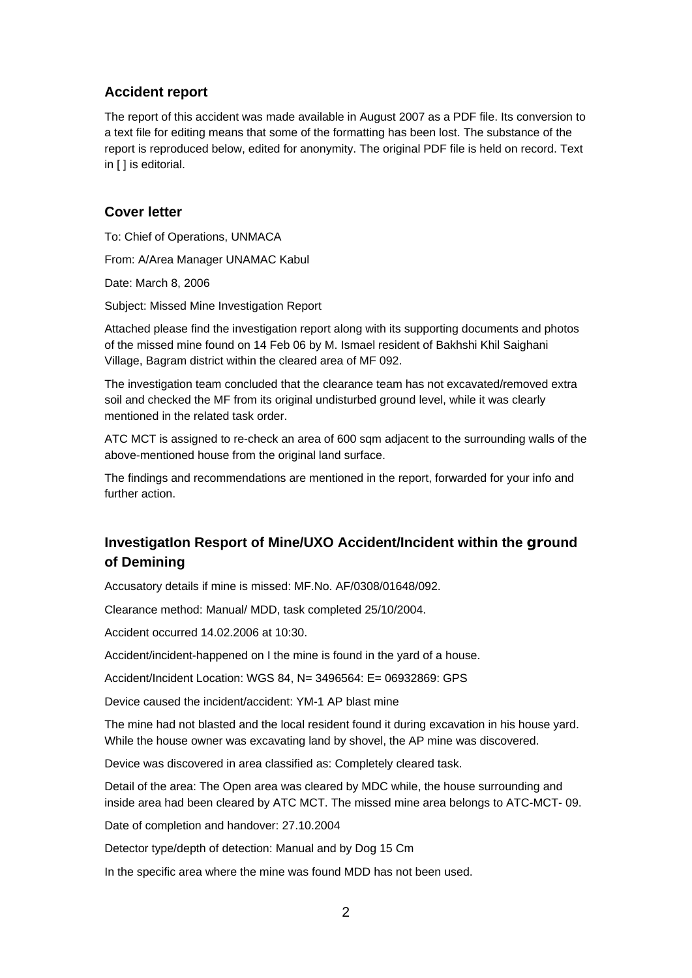## **Accident report**

The report of this accident was made available in August 2007 as a PDF file. Its conversion to a text file for editing means that some of the formatting has been lost. The substance of the report is reproduced below, edited for anonymity. The original PDF file is held on record. Text in [ ] is editorial.

### **Cover letter**

To: Chief of Operations, UNMACA From: A/Area Manager UNAMAC Kabul Date: March 8, 2006

Subject: Missed Mine Investigation Report

Attached please find the investigation report along with its supporting documents and photos of the missed mine found on 14 Feb 06 by M. Ismael resident of Bakhshi Khil Saighani Village, Bagram district within the cleared area of MF 092.

The investigation team concluded that the clearance team has not excavated/removed extra soil and checked the MF from its original undisturbed ground level, while it was clearly mentioned in the related task order.

ATC MCT is assigned to re-check an area of 600 sqm adjacent to the surrounding walls of the above-mentioned house from the original land surface.

The findings and recommendations are mentioned in the report, forwarded for your info and further action.

# **InvestigatIon Resport of Mine/UXO Accident/Incident within the ground of Demining**

Accusatory details if mine is missed: MF.No. AF/0308/01648/092.

Clearance method: Manual/ MDD, task completed 25/10/2004.

Accident occurred 14.02.2006 at 10:30.

Accident/incident-happened on I the mine is found in the yard of a house.

Accident/Incident Location: WGS 84, N= 3496564: E= 06932869: GPS

Device caused the incident/accident: YM-1 AP blast mine

The mine had not blasted and the local resident found it during excavation in his house yard. While the house owner was excavating land by shovel, the AP mine was discovered.

Device was discovered in area classified as: Completely cleared task.

Detail of the area: The Open area was cleared by MDC while, the house surrounding and inside area had been cleared by ATC MCT. The missed mine area belongs to ATC-MCT- 09.

Date of completion and handover: 27.10.2004

Detector type/depth of detection: Manual and by Dog 15 Cm

In the specific area where the mine was found MDD has not been used.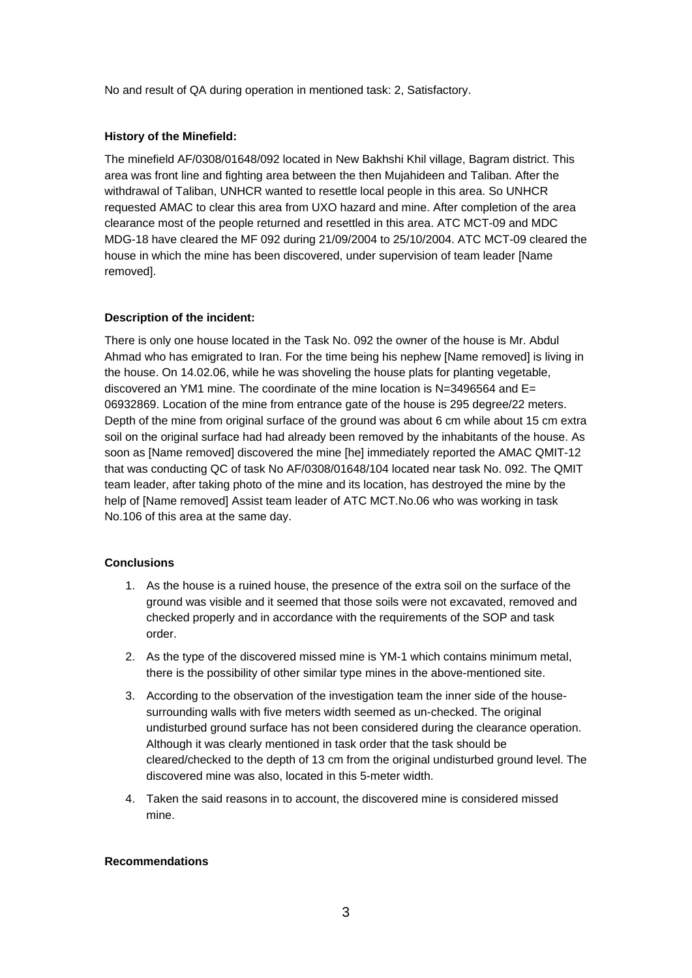No and result of QA during operation in mentioned task: 2, Satisfactory.

#### **History of the Minefield:**

The minefield AF/0308/01648/092 located in New Bakhshi Khil village, Bagram district. This area was front line and fighting area between the then Mujahideen and Taliban. After the withdrawal of Taliban, UNHCR wanted to resettle local people in this area. So UNHCR requested AMAC to clear this area from UXO hazard and mine. After completion of the area clearance most of the people returned and resettled in this area. ATC MCT-09 and MDC MDG-18 have cleared the MF 092 during 21/09/2004 to 25/10/2004. ATC MCT-09 cleared the house in which the mine has been discovered, under supervision of team leader [Name removed].

#### **Description of the incident:**

There is only one house located in the Task No. 092 the owner of the house is Mr. Abdul Ahmad who has emigrated to Iran. For the time being his nephew [Name removed] is living in the house. On 14.02.06, while he was shoveling the house plats for planting vegetable, discovered an YM1 mine. The coordinate of the mine location is  $N=3496564$  and  $E=$ 06932869. Location of the mine from entrance gate of the house is 295 degree/22 meters. Depth of the mine from original surface of the ground was about 6 cm while about 15 cm extra soil on the original surface had had already been removed by the inhabitants of the house. As soon as [Name removed] discovered the mine [he] immediately reported the AMAC QMIT-12 that was conducting QC of task No AF/0308/01648/104 located near task No. 092. The QMIT team leader, after taking photo of the mine and its location, has destroyed the mine by the help of [Name removed] Assist team leader of ATC MCT.No.06 who was working in task No.106 of this area at the same day.

#### **Conclusions**

- 1. As the house is a ruined house, the presence of the extra soil on the surface of the ground was visible and it seemed that those soils were not excavated, removed and checked properly and in accordance with the requirements of the SOP and task order.
- 2. As the type of the discovered missed mine is YM-1 which contains minimum metal, there is the possibility of other similar type mines in the above-mentioned site.
- 3. According to the observation of the investigation team the inner side of the housesurrounding walls with five meters width seemed as un-checked. The original undisturbed ground surface has not been considered during the clearance operation. Although it was clearly mentioned in task order that the task should be cleared/checked to the depth of 13 cm from the original undisturbed ground level. The discovered mine was also, located in this 5-meter width.
- 4. Taken the said reasons in to account, the discovered mine is considered missed mine.

#### **Recommendations**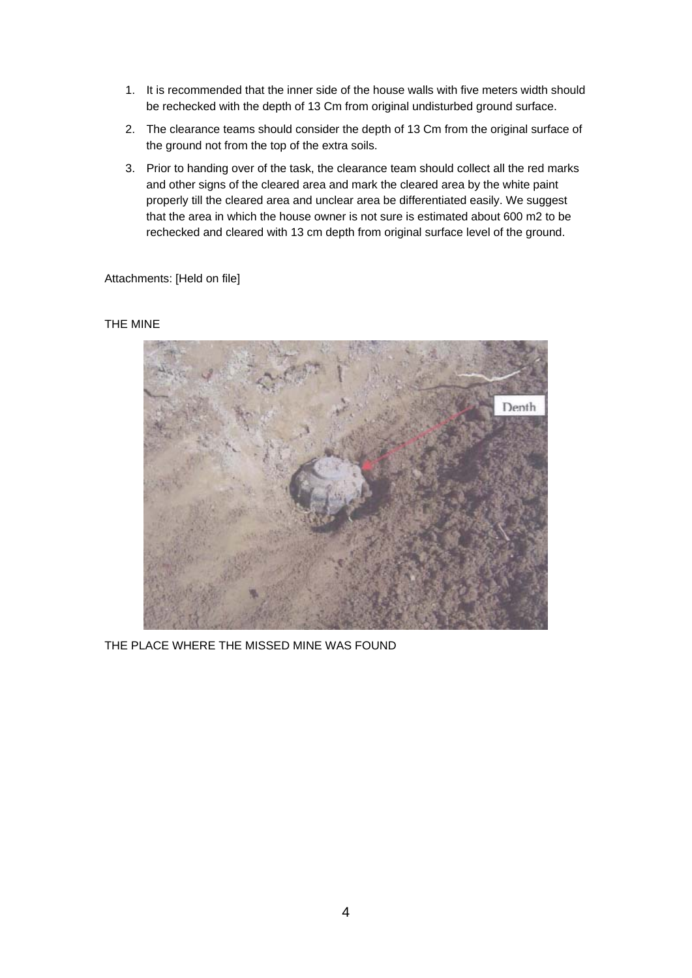- 1. It is recommended that the inner side of the house walls with five meters width should be rechecked with the depth of 13 Cm from original undisturbed ground surface.
- 2. The clearance teams should consider the depth of 13 Cm from the original surface of the ground not from the top of the extra soils.
- 3. Prior to handing over of the task, the clearance team should collect all the red marks and other signs of the cleared area and mark the cleared area by the white paint properly till the cleared area and unclear area be differentiated easily. We suggest that the area in which the house owner is not sure is estimated about 600 m2 to be rechecked and cleared with 13 cm depth from original surface level of the ground.

Attachments: [Held on file]

#### THE MINE



THE PLACE WHERE THE MISSED MINE WAS FOUND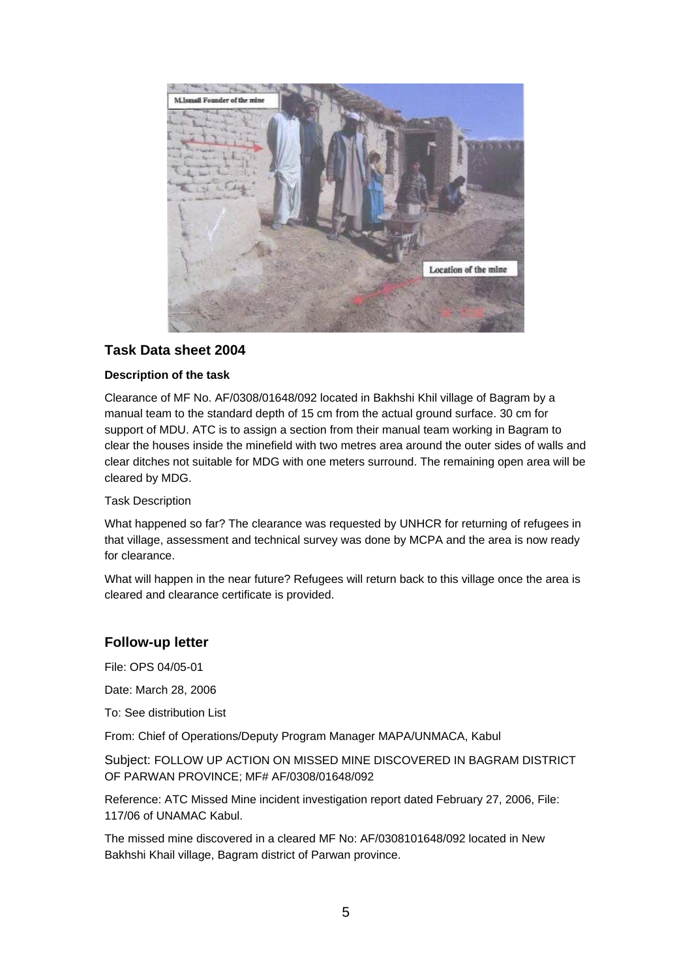

## **Task Data sheet 2004**

### **Description of the task**

Clearance of MF No. AF/0308/01648/092 located in Bakhshi Khil village of Bagram by a manual team to the standard depth of 15 cm from the actual ground surface. 30 cm for support of MDU. ATC is to assign a section from their manual team working in Bagram to clear the houses inside the minefield with two metres area around the outer sides of walls and clear ditches not suitable for MDG with one meters surround. The remaining open area will be cleared by MDG.

#### Task Description

What happened so far? The clearance was requested by UNHCR for returning of refugees in that village, assessment and technical survey was done by MCPA and the area is now ready for clearance.

What will happen in the near future? Refugees will return back to this village once the area is cleared and clearance certificate is provided.

### **Follow-up letter**

File: OPS 04/05-01

Date: March 28, 2006

To: See distribution List

From: Chief of Operations/Deputy Program Manager MAPA/UNMACA, Kabul

Subject: FOLLOW UP ACTION ON MISSED MINE DISCOVERED IN BAGRAM DISTRICT OF PARWAN PROVINCE; MF# AF/0308/01648/092

Reference: ATC Missed Mine incident investigation report dated February 27, 2006, File: 117/06 of UNAMAC Kabul.

The missed mine discovered in a cleared MF No: AF/0308101648/092 located in New Bakhshi Khail village, Bagram district of Parwan province.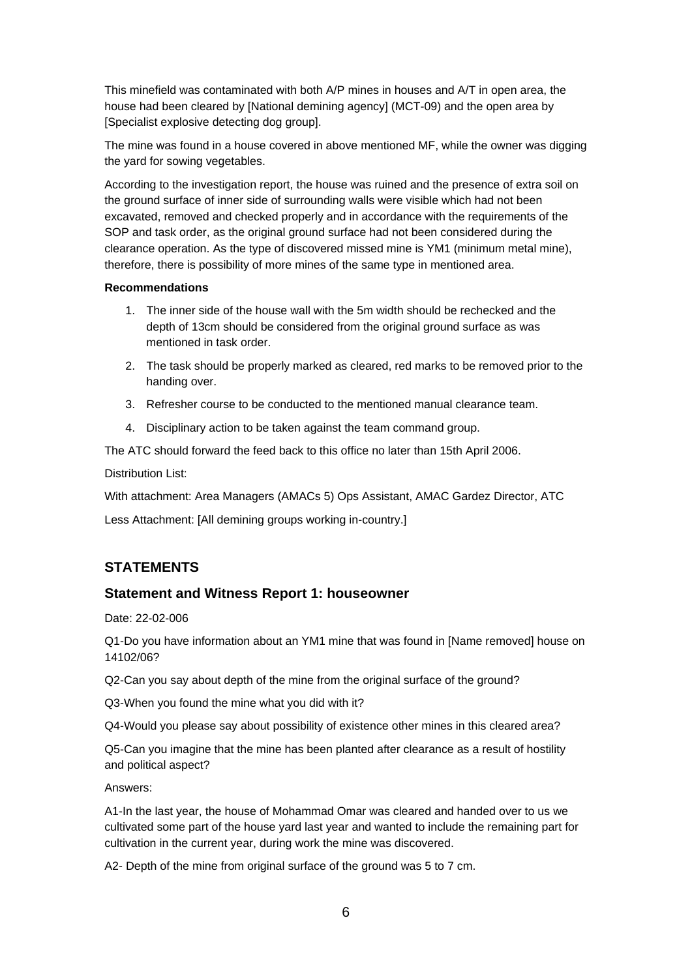This minefield was contaminated with both A/P mines in houses and A/T in open area, the house had been cleared by [National demining agency] (MCT-09) and the open area by [Specialist explosive detecting dog group].

The mine was found in a house covered in above mentioned MF, while the owner was digging the yard for sowing vegetables.

According to the investigation report, the house was ruined and the presence of extra soil on the ground surface of inner side of surrounding walls were visible which had not been excavated, removed and checked properly and in accordance with the requirements of the SOP and task order, as the original ground surface had not been considered during the clearance operation. As the type of discovered missed mine is YM1 (minimum metal mine), therefore, there is possibility of more mines of the same type in mentioned area.

#### **Recommendations**

- 1. The inner side of the house wall with the 5m width should be rechecked and the depth of 13cm should be considered from the original ground surface as was mentioned in task order.
- 2. The task should be properly marked as cleared, red marks to be removed prior to the handing over.
- 3. Refresher course to be conducted to the mentioned manual clearance team.
- 4. Disciplinary action to be taken against the team command group.

The ATC should forward the feed back to this office no later than 15th April 2006.

Distribution List:

With attachment: Area Managers (AMACs 5) Ops Assistant, AMAC Gardez Director, ATC

Less Attachment: [All demining groups working in-country.]

## **STATEMENTS**

### **Statement and Witness Report 1: houseowner**

Date: 22-02-006

Q1-Do you have information about an YM1 mine that was found in [Name removed] house on 14102/06?

Q2-Can you say about depth of the mine from the original surface of the ground?

Q3-When you found the mine what you did with it?

Q4-Would you please say about possibility of existence other mines in this cleared area?

Q5-Can you imagine that the mine has been planted after clearance as a result of hostility and political aspect?

Answers:

A1-In the last year, the house of Mohammad Omar was cleared and handed over to us we cultivated some part of the house yard last year and wanted to include the remaining part for cultivation in the current year, during work the mine was discovered.

A2- Depth of the mine from original surface of the ground was 5 to 7 cm.